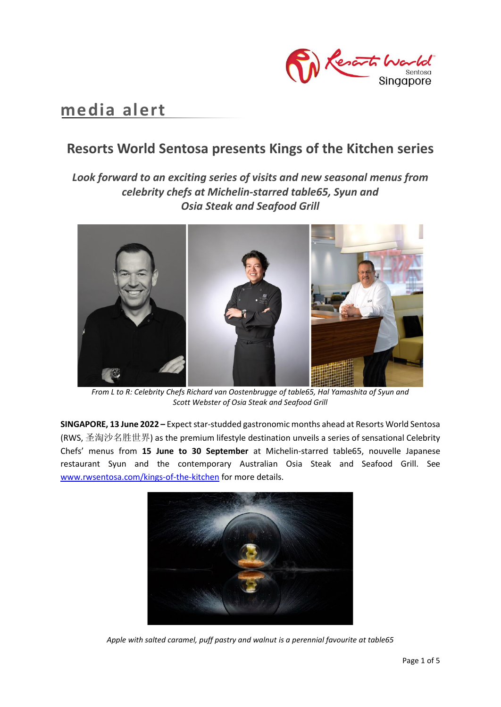

# **media alert**

# **Resorts World Sentosa presents Kings of the Kitchen series**

# *Look forward to an exciting series of visits and new seasonal menus from celebrity chefs at Michelin-starred table65, Syun and Osia Steak and Seafood Grill*



*From L to R: Celebrity Chefs Richard van Oostenbrugge of table65, Hal Yamashita of Syun and Scott Webster of Osia Steak and Seafood Grill*

**SINGAPORE, 13 June 2022 –** Expect star-studded gastronomic months ahead at Resorts World Sentosa (RWS, 圣淘沙名胜世界) as the premium lifestyle destination unveils a series of sensational Celebrity Chefs' menus from **15 June to 30 September** at Michelin-starred table65, nouvelle Japanese restaurant Syun and the contemporary Australian Osia Steak and Seafood Grill. See [www.rwsentosa.com/kings-of-the-kitchen](http://www.rwsentosa.com/kings-of-the-kitchen) for more details.



*Apple with salted caramel, puff pastry and walnut is a perennial favourite at table65*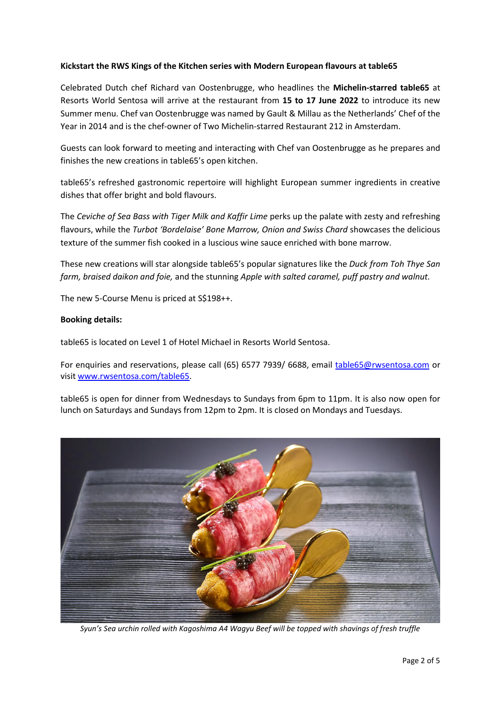## **Kickstart the RWS Kings of the Kitchen series with Modern European flavours at table65**

Celebrated Dutch chef Richard van Oostenbrugge, who headlines the **Michelin-starred table65** at Resorts World Sentosa will arrive at the restaurant from **15 to 17 June 2022** to introduce its new Summer menu. Chef van Oostenbrugge was named by Gault & Millau as the Netherlands' Chef of the Year in 2014 and is the chef-owner of Two Michelin-starred Restaurant 212 in Amsterdam.

Guests can look forward to meeting and interacting with Chef van Oostenbrugge as he prepares and finishes the new creations in table65's open kitchen.

table65's refreshed gastronomic repertoire will highlight European summer ingredients in creative dishes that offer bright and bold flavours.

The *Ceviche of Sea Bass with Tiger Milk and Kaffir Lime* perks up the palate with zesty and refreshing flavours, while the *Turbot 'Bordelaise' Bone Marrow, Onion and Swiss Chard* showcases the delicious texture of the summer fish cooked in a luscious wine sauce enriched with bone marrow.

These new creations will star alongside table65's popular signatures like the *Duck from Toh Thye San farm, braised daikon and foie,* and the stunning *Apple with salted caramel, puff pastry and walnut.* 

The new 5-Course Menu is priced at S\$198++.

#### **Booking details:**

table65 is located on Level 1 of Hotel Michael in Resorts World Sentosa.

For enquiries and reservations, please call (65) 6577 7939/ 6688, email [table65@rwsentosa.com](mailto:table65@rwsentosa.com) or visi[t www.rwsentosa.com/table65.](http://www.rwsentosa.com/table65)

table65 is open for dinner from Wednesdays to Sundays from 6pm to 11pm. It is also now open for lunch on Saturdays and Sundays from 12pm to 2pm. It is closed on Mondays and Tuesdays.



*Syun's Sea urchin rolled with Kagoshima A4 Wagyu Beef will be topped with shavings of fresh truffle*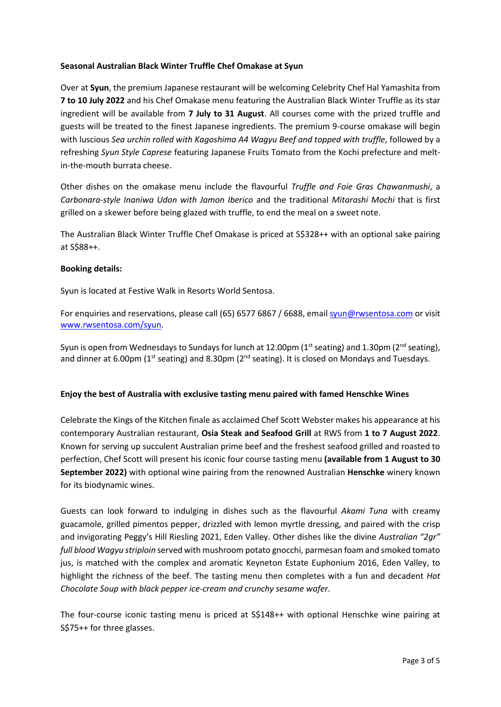#### **Seasonal Australian Black Winter Truffle Chef Omakase at Syun**

Over at **Syun**, the premium Japanese restaurant will be welcoming Celebrity Chef Hal Yamashita from **7 to 10 July 2022** and his Chef Omakase menu featuring the Australian Black Winter Truffle as its star ingredient will be available from **7 July to 31 August**. All courses come with the prized truffle and guests will be treated to the finest Japanese ingredients. The premium 9-course omakase will begin with luscious *Sea urchin rolled with Kagoshima A4 Wagyu Beef and topped with truffle*, followed by a refreshing *Syun Style Caprese* featuring Japanese Fruits Tomato from the Kochi prefecture and meltin-the-mouth burrata cheese.

Other dishes on the omakase menu include the flavourful *Truffle and Foie Gras Chawanmushi*, a *Carbonara-style Inaniwa Udon with Jamon Iberico* and the traditional *Mitarashi Mochi* that is first grilled on a skewer before being glazed with truffle, to end the meal on a sweet note.

The Australian Black Winter Truffle Chef Omakase is priced at S\$328++ with an optional sake pairing at S\$88++.

## **Booking details:**

Syun is located at Festive Walk in Resorts World Sentosa.

For enquiries and reservations, please call (65) 6577 6867 / 6688, email [syun@rwsentosa.](http://syun@rwsentosa)com or visit [www.rwsentosa.com/syun.](http://www.rwsentosa.com/syun)

Syun is open from Wednesdays to Sundays for lunch at 12.00pm ( $1<sup>st</sup>$  seating) and 1.30pm ( $2<sup>nd</sup>$  seating), and dinner at 6.00pm ( $1<sup>st</sup>$  seating) and 8.30pm ( $2<sup>nd</sup>$  seating). It is closed on Mondays and Tuesdays.

#### **Enjoy the best of Australia with exclusive tasting menu paired with famed Henschke Wines**

Celebrate the Kings of the Kitchen finale as acclaimed Chef Scott Webster makes his appearance at his contemporary Australian restaurant, **Osia Steak and Seafood Grill** at RWS from **1 to 7 August 2022**. Known for serving up succulent Australian prime beef and the freshest seafood grilled and roasted to perfection, Chef Scott will present his iconic four course tasting menu **(available from 1 August to 30 September 2022)** with optional wine pairing from the renowned Australian **Henschke** winery known for its biodynamic wines.

Guests can look forward to indulging in dishes such as the flavourful *Akami Tuna* with creamy guacamole, grilled pimentos pepper, drizzled with lemon myrtle dressing, and paired with the crisp and invigorating Peggy's Hill Riesling 2021, Eden Valley. Other dishes like the divine *Australian "2gr" full blood Wagyu striploin* served with mushroom potato gnocchi, parmesan foam and smoked tomato jus, is matched with the complex and aromatic Keyneton Estate Euphonium 2016, Eden Valley, to highlight the richness of the beef. The tasting menu then completes with a fun and decadent *Hot Chocolate Soup with black pepper ice-cream and crunchy sesame wafer*.

The four-course iconic tasting menu is priced at S\$148++ with optional Henschke wine pairing at S\$75++ for three glasses.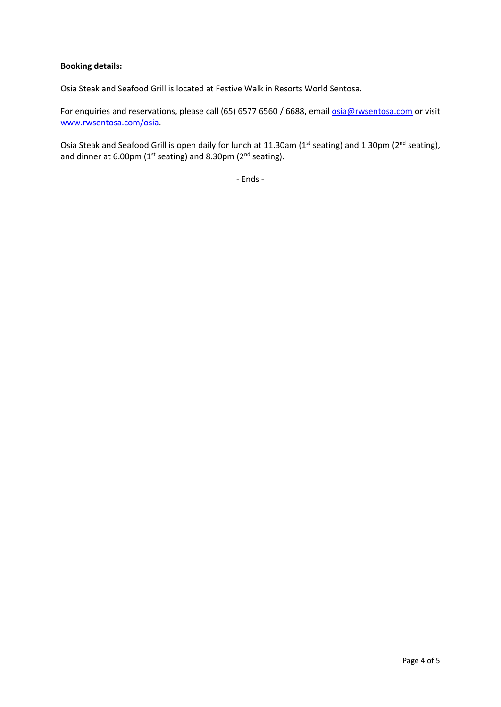## **Booking details:**

Osia Steak and Seafood Grill is located at Festive Walk in Resorts World Sentosa.

For enquiries and reservations, please call (65) 6577 6560 / 6688, emai[l osia@rwsentosa.com](mailto:osia@rwsentosa.com) or visit [www.rwsentosa.com/osia.](http://www.rwsentosa.com/osia)

Osia Steak and Seafood Grill is open daily for lunch at 11.30am ( $1<sup>st</sup>$  seating) and 1.30pm ( $2<sup>nd</sup>$  seating), and dinner at 6.00pm ( $1^{st}$  seating) and 8.30pm ( $2^{nd}$  seating).

- Ends -